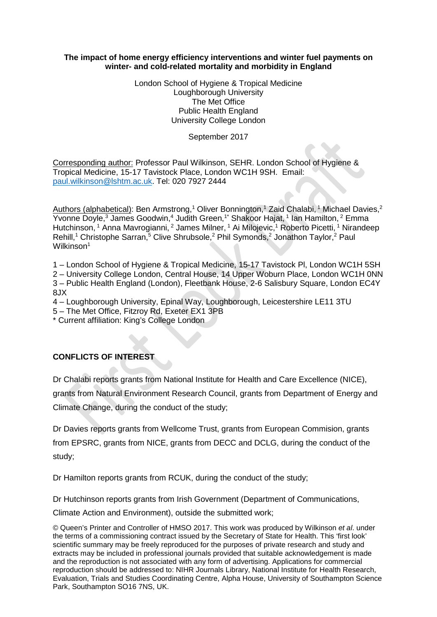## **The impact of home energy efficiency interventions and winter fuel payments on winter- and cold-related mortality and morbidity in England**

London School of Hygiene & Tropical Medicine Loughborough University The Met Office Public Health England University College London

September 2017

Corresponding author: Professor Paul Wilkinson, SEHR. London School of Hygiene & Tropical Medicine, 15-17 Tavistock Place, London WC1H 9SH. Email: [paul.wilkinson@lshtm.ac.uk.](mailto:paul.wilkinson@lshtm.ac.uk) Tel: 020 7927 2444

Authors (alphabetical): Ben Armstrong,<sup>1</sup> Oliver Bonnington,<sup>1</sup> Zaid Chalabi,<sup>1</sup> Michael Davies,<sup>2</sup> Yvonne Doyle,<sup>3</sup> James Goodwin,<sup>4</sup> Judith Green,<sup>1\*</sup> Shakoor Hajat, <sup>1</sup> Ian Hamilton, <sup>2</sup> Emma Hutchinson, <sup>1</sup> Anna Mavrogianni, <sup>2</sup> James Milner, <sup>1</sup> Ai Milojevic, <sup>1</sup> Roberto Picetti, <sup>1</sup> Nirandeep Rehill,<sup>1</sup> Christophe Sarran,<sup>5</sup> Clive Shrubsole,<sup>2</sup> Phil Symonds,<sup>2</sup> Jonathon Taylor,<sup>2</sup> Paul Wilkinson<sup>1</sup>

1 – London School of Hygiene & Tropical Medicine, 15-17 Tavistock Pl, London WC1H 5SH 2 – University College London, Central House, 14 Upper Woburn Place, London WC1H 0NN 3 – Public Health England (London), Fleetbank House, 2-6 Salisbury Square, London EC4Y 8JX

4 – Loughborough University, Epinal Way, Loughborough, Leicestershire LE11 3TU

5 – The Met Office, Fitzroy Rd, Exeter EX1 3PB

\* Current affiliation: King's College London

# **CONFLICTS OF INTEREST**

Dr Chalabi reports grants from National Institute for Health and Care Excellence (NICE),

grants from Natural Environment Research Council, grants from Department of Energy and Climate Change, during the conduct of the study;

Dr Davies reports grants from Wellcome Trust, grants from European Commision, grants from EPSRC, grants from NICE, grants from DECC and DCLG, during the conduct of the study;

Dr Hamilton reports grants from RCUK, during the conduct of the study;

Dr Hutchinson reports grants from Irish Government (Department of Communications,

Climate Action and Environment), outside the submitted work;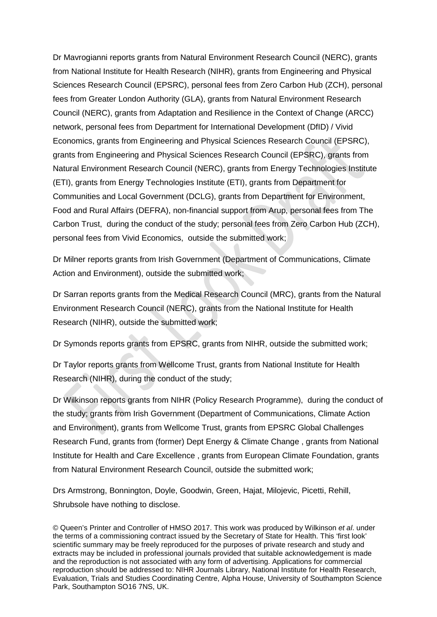Dr Mavrogianni reports grants from Natural Environment Research Council (NERC), grants from National Institute for Health Research (NIHR), grants from Engineering and Physical Sciences Research Council (EPSRC), personal fees from Zero Carbon Hub (ZCH), personal fees from Greater London Authority (GLA), grants from Natural Environment Research Council (NERC), grants from Adaptation and Resilience in the Context of Change (ARCC) network, personal fees from Department for International Development (DfID) / Vivid Economics, grants from Engineering and Physical Sciences Research Council (EPSRC), grants from Engineering and Physical Sciences Research Council (EPSRC), grants from Natural Environment Research Council (NERC), grants from Energy Technologies Institute (ETI), grants from Energy Technologies Institute (ETI), grants from Department for Communities and Local Government (DCLG), grants from Department for Environment, Food and Rural Affairs (DEFRA), non-financial support from Arup, personal fees from The Carbon Trust, during the conduct of the study; personal fees from Zero Carbon Hub (ZCH), personal fees from Vivid Economics, outside the submitted work;

Dr Milner reports grants from Irish Government (Department of Communications, Climate Action and Environment), outside the submitted work;

Dr Sarran reports grants from the Medical Research Council (MRC), grants from the Natural Environment Research Council (NERC), grants from the National Institute for Health Research (NIHR), outside the submitted work;

Dr Symonds reports grants from EPSRC, grants from NIHR, outside the submitted work;

Dr Taylor reports grants from Wellcome Trust, grants from National Institute for Health Research (NIHR), during the conduct of the study;

Dr Wilkinson reports grants from NIHR (Policy Research Programme), during the conduct of the study; grants from Irish Government (Department of Communications, Climate Action and Environment), grants from Wellcome Trust, grants from EPSRC Global Challenges Research Fund, grants from (former) Dept Energy & Climate Change , grants from National Institute for Health and Care Excellence , grants from European Climate Foundation, grants from Natural Environment Research Council, outside the submitted work;

Drs Armstrong, Bonnington, Doyle, Goodwin, Green, Hajat, Milojevic, Picetti, Rehill, Shrubsole have nothing to disclose.

<sup>©</sup> Queen's Printer and Controller of HMSO 2017. This work was produced by Wilkinson *et al*. under the terms of a commissioning contract issued by the Secretary of State for Health. This 'first look' scientific summary may be freely reproduced for the purposes of private research and study and extracts may be included in professional journals provided that suitable acknowledgement is made and the reproduction is not associated with any form of advertising. Applications for commercial reproduction should be addressed to: NIHR Journals Library, National Institute for Health Research, Evaluation, Trials and Studies Coordinating Centre, Alpha House, University of Southampton Science Park, Southampton SO16 7NS, UK.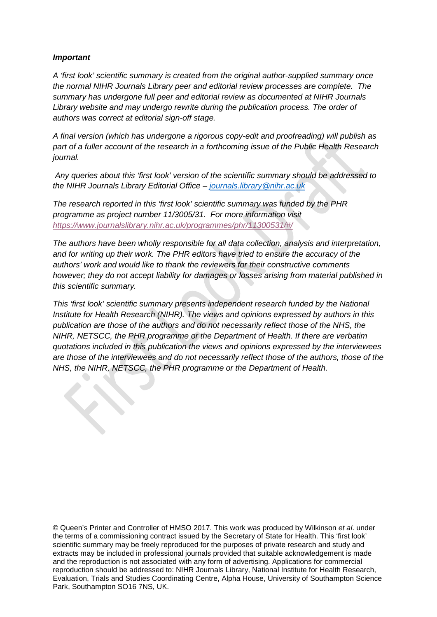# *Important*

 $\curvearrowleft$ 

*A 'first look' scientific summary is created from the original author-supplied summary once the normal NIHR Journals Library peer and editorial review processes are complete. The summary has undergone full peer and editorial review as documented at NIHR Journals Library website and may undergo rewrite during the publication process. The order of authors was correct at editorial sign-off stage.* 

*A final version (which has undergone a rigorous copy-edit and proofreading) will publish as part of a fuller account of the research in a forthcoming issue of the Public Health Research journal.*

*Any queries about this 'first look' version of the scientific summary should be addressed to the NIHR Journals Library Editorial Office – [journals.library@nihr.ac.uk](mailto:journals.library@nihr.ac.uk)*

*The research reported in this 'first look' scientific summary was funded by the PHR programme as project number 11/3005/31. For more information visit <https://www.journalslibrary.nihr.ac.uk/programmes/phr/11300531/#/>*

*The authors have been wholly responsible for all data collection, analysis and interpretation, and for writing up their work. The PHR editors have tried to ensure the accuracy of the authors' work and would like to thank the reviewers for their constructive comments however; they do not accept liability for damages or losses arising from material published in this scientific summary.*

*This 'first look' scientific summary presents independent research funded by the National Institute for Health Research (NIHR). The views and opinions expressed by authors in this publication are those of the authors and do not necessarily reflect those of the NHS, the NIHR, NETSCC, the PHR programme or the Department of Health. If there are verbatim quotations included in this publication the views and opinions expressed by the interviewees are those of the interviewees and do not necessarily reflect those of the authors, those of the NHS, the NIHR, NETSCC, the PHR programme or the Department of Health.*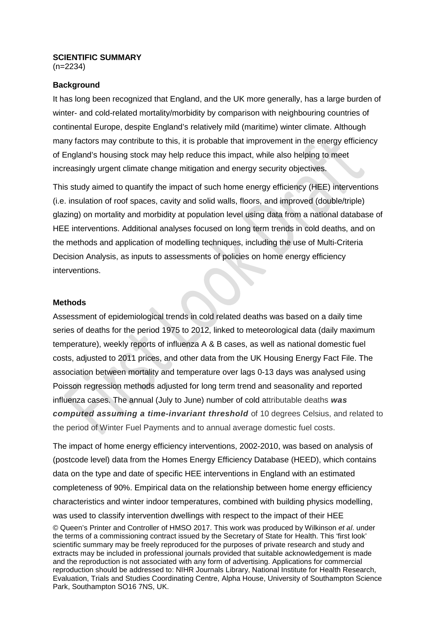# **SCIENTIFIC SUMMARY**

(n=2234)

#### **Background**

It has long been recognized that England, and the UK more generally, has a large burden of winter- and cold-related mortality/morbidity by comparison with neighbouring countries of continental Europe, despite England's relatively mild (maritime) winter climate. Although many factors may contribute to this, it is probable that improvement in the energy efficiency of England's housing stock may help reduce this impact, while also helping to meet increasingly urgent climate change mitigation and energy security objectives.

This study aimed to quantify the impact of such home energy efficiency (HEE) interventions (i.e. insulation of roof spaces, cavity and solid walls, floors, and improved (double/triple) glazing) on mortality and morbidity at population level using data from a national database of HEE interventions. Additional analyses focused on long term trends in cold deaths, and on the methods and application of modelling techniques, including the use of Multi-Criteria Decision Analysis, as inputs to assessments of policies on home energy efficiency interventions.

#### **Methods**

Assessment of epidemiological trends in cold related deaths was based on a daily time series of deaths for the period 1975 to 2012, linked to meteorological data (daily maximum temperature), weekly reports of influenza A & B cases, as well as national domestic fuel costs, adjusted to 2011 prices, and other data from the UK Housing Energy Fact File. The association between mortality and temperature over lags 0-13 days was analysed using Poisson regression methods adjusted for long term trend and seasonality and reported influenza cases. The annual (July to June) number of cold attributable deaths *was computed assuming a time-invariant threshold* of 10 degrees Celsius, and related to the period of Winter Fuel Payments and to annual average domestic fuel costs.

The impact of home energy efficiency interventions, 2002-2010, was based on analysis of (postcode level) data from the Homes Energy Efficiency Database (HEED), which contains data on the type and date of specific HEE interventions in England with an estimated completeness of 90%. Empirical data on the relationship between home energy efficiency characteristics and winter indoor temperatures, combined with building physics modelling, was used to classify intervention dwellings with respect to the impact of their HEE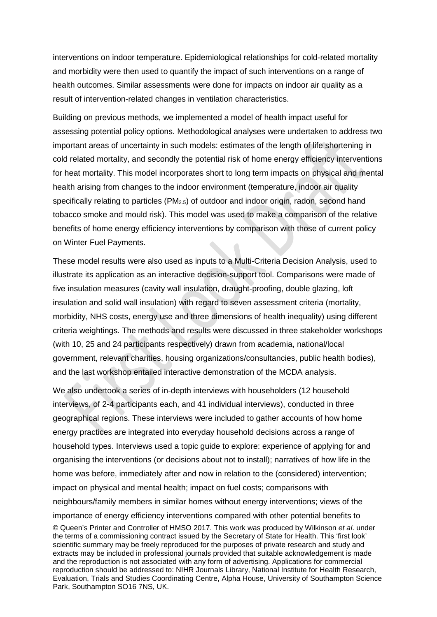interventions on indoor temperature. Epidemiological relationships for cold-related mortality and morbidity were then used to quantify the impact of such interventions on a range of health outcomes. Similar assessments were done for impacts on indoor air quality as a result of intervention-related changes in ventilation characteristics.

Building on previous methods, we implemented a model of health impact useful for assessing potential policy options. Methodological analyses were undertaken to address two important areas of uncertainty in such models: estimates of the length of life shortening in cold related mortality, and secondly the potential risk of home energy efficiency interventions for heat mortality. This model incorporates short to long term impacts on physical and mental health arising from changes to the indoor environment (temperature, indoor air quality specifically relating to particles  $(PM<sub>2.5</sub>)$  of outdoor and indoor origin, radon, second hand tobacco smoke and mould risk). This model was used to make a comparison of the relative benefits of home energy efficiency interventions by comparison with those of current policy on Winter Fuel Payments.

These model results were also used as inputs to a Multi-Criteria Decision Analysis, used to illustrate its application as an interactive decision-support tool. Comparisons were made of five insulation measures (cavity wall insulation, draught-proofing, double glazing, loft insulation and solid wall insulation) with regard to seven assessment criteria (mortality, morbidity, NHS costs, energy use and three dimensions of health inequality) using different criteria weightings. The methods and results were discussed in three stakeholder workshops (with 10, 25 and 24 participants respectively) drawn from academia, national/local government, relevant charities, housing organizations/consultancies, public health bodies), and the last workshop entailed interactive demonstration of the MCDA analysis.

© Queen's Printer and Controller of HMSO 2017. This work was produced by Wilkinson *et al*. under the terms of a commissioning contract issued by the Secretary of State for Health. This 'first look' scientific summary may be freely reproduced for the purposes of private research and study and extracts may be included in professional journals provided that suitable acknowledgement is made and the reproduction is not associated with any form of advertising. Applications for commercial reproduction should be addressed to: NIHR Journals Library, National Institute for Health Research, Evaluation, Trials and Studies Coordinating Centre, Alpha House, University of Southampton Science Park, Southampton SO16 7NS, UK. We also undertook a series of in-depth interviews with householders (12 household interviews, of 2-4 participants each, and 41 individual interviews), conducted in three geographical regions. These interviews were included to gather accounts of how home energy practices are integrated into everyday household decisions across a range of household types. Interviews used a topic guide to explore: experience of applying for and organising the interventions (or decisions about not to install); narratives of how life in the home was before, immediately after and now in relation to the (considered) intervention; impact on physical and mental health; impact on fuel costs; comparisons with neighbours/family members in similar homes without energy interventions; views of the importance of energy efficiency interventions compared with other potential benefits to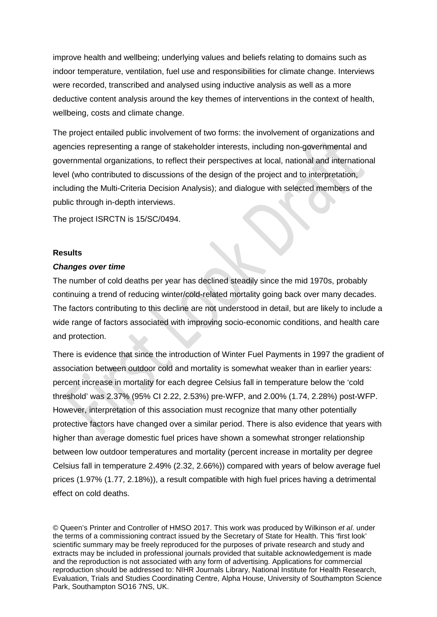improve health and wellbeing; underlying values and beliefs relating to domains such as indoor temperature, ventilation, fuel use and responsibilities for climate change. Interviews were recorded, transcribed and analysed using inductive analysis as well as a more deductive content analysis around the key themes of interventions in the context of health, wellbeing, costs and climate change.

The project entailed public involvement of two forms: the involvement of organizations and agencies representing a range of stakeholder interests, including non-governmental and governmental organizations, to reflect their perspectives at local, national and international level (who contributed to discussions of the design of the project and to interpretation, including the Multi-Criteria Decision Analysis); and dialogue with selected members of the public through in-depth interviews.

The project ISRCTN is 15/SC/0494.

#### **Results**

## *Changes over time*

The number of cold deaths per year has declined steadily since the mid 1970s, probably continuing a trend of reducing winter/cold-related mortality going back over many decades. The factors contributing to this decline are not understood in detail, but are likely to include a wide range of factors associated with improving socio-economic conditions, and health care and protection.

There is evidence that since the introduction of Winter Fuel Payments in 1997 the gradient of association between outdoor cold and mortality is somewhat weaker than in earlier years: percent increase in mortality for each degree Celsius fall in temperature below the 'cold threshold' was 2.37% (95% CI 2.22, 2.53%) pre-WFP, and 2.00% (1.74, 2.28%) post-WFP. However, interpretation of this association must recognize that many other potentially protective factors have changed over a similar period. There is also evidence that years with higher than average domestic fuel prices have shown a somewhat stronger relationship between low outdoor temperatures and mortality (percent increase in mortality per degree Celsius fall in temperature 2.49% (2.32, 2.66%)) compared with years of below average fuel prices (1.97% (1.77, 2.18%)), a result compatible with high fuel prices having a detrimental effect on cold deaths.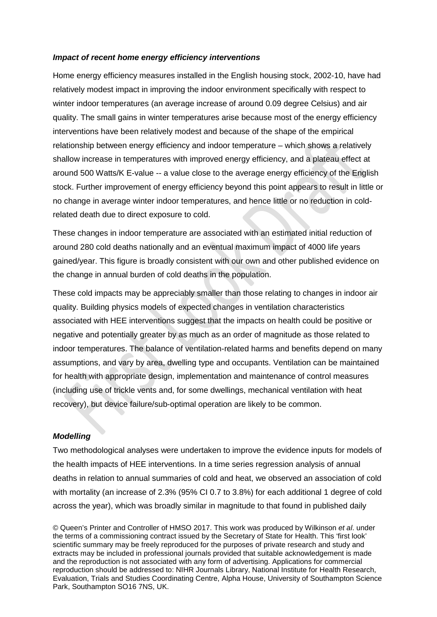## *Impact of recent home energy efficiency interventions*

Home energy efficiency measures installed in the English housing stock, 2002-10, have had relatively modest impact in improving the indoor environment specifically with respect to winter indoor temperatures (an average increase of around 0.09 degree Celsius) and air quality. The small gains in winter temperatures arise because most of the energy efficiency interventions have been relatively modest and because of the shape of the empirical relationship between energy efficiency and indoor temperature – which shows a relatively shallow increase in temperatures with improved energy efficiency, and a plateau effect at around 500 Watts/K E-value -- a value close to the average energy efficiency of the English stock. Further improvement of energy efficiency beyond this point appears to result in little or no change in average winter indoor temperatures, and hence little or no reduction in coldrelated death due to direct exposure to cold.

These changes in indoor temperature are associated with an estimated initial reduction of around 280 cold deaths nationally and an eventual maximum impact of 4000 life years gained/year. This figure is broadly consistent with our own and other published evidence on the change in annual burden of cold deaths in the population.

These cold impacts may be appreciably smaller than those relating to changes in indoor air quality. Building physics models of expected changes in ventilation characteristics associated with HEE interventions suggest that the impacts on health could be positive or negative and potentially greater by as much as an order of magnitude as those related to indoor temperatures. The balance of ventilation-related harms and benefits depend on many assumptions, and vary by area, dwelling type and occupants. Ventilation can be maintained for health with appropriate design, implementation and maintenance of control measures (including use of trickle vents and, for some dwellings, mechanical ventilation with heat recovery), but device failure/sub-optimal operation are likely to be common.

## *Modelling*

Two methodological analyses were undertaken to improve the evidence inputs for models of the health impacts of HEE interventions. In a time series regression analysis of annual deaths in relation to annual summaries of cold and heat, we observed an association of cold with mortality (an increase of 2.3% (95% CI 0.7 to 3.8%) for each additional 1 degree of cold across the year), which was broadly similar in magnitude to that found in published daily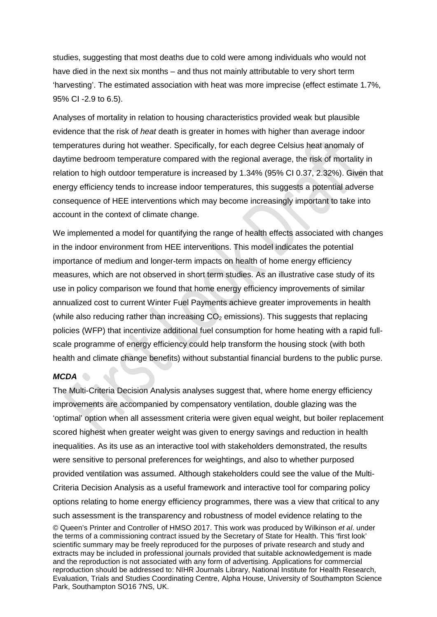studies, suggesting that most deaths due to cold were among individuals who would not have died in the next six months – and thus not mainly attributable to very short term 'harvesting'. The estimated association with heat was more imprecise (effect estimate 1.7%, 95% CI -2.9 to 6.5).

Analyses of mortality in relation to housing characteristics provided weak but plausible evidence that the risk of *heat* death is greater in homes with higher than average indoor temperatures during hot weather. Specifically, for each degree Celsius heat anomaly of daytime bedroom temperature compared with the regional average, the risk of mortality in relation to high outdoor temperature is increased by 1.34% (95% CI 0.37, 2.32%). Given that energy efficiency tends to increase indoor temperatures, this suggests a potential adverse consequence of HEE interventions which may become increasingly important to take into account in the context of climate change.

We implemented a model for quantifying the range of health effects associated with changes in the indoor environment from HEE interventions. This model indicates the potential importance of medium and longer-term impacts on health of home energy efficiency measures, which are not observed in short term studies. As an illustrative case study of its use in policy comparison we found that home energy efficiency improvements of similar annualized cost to current Winter Fuel Payments achieve greater improvements in health (while also reducing rather than increasing  $CO<sub>2</sub>$  emissions). This suggests that replacing policies (WFP) that incentivize additional fuel consumption for home heating with a rapid fullscale programme of energy efficiency could help transform the housing stock (with both health and climate change benefits) without substantial financial burdens to the public purse.

#### *MCDA*

© Queen's Printer and Controller of HMSO 2017. This work was produced by Wilkinson *et al*. under the terms of a commissioning contract issued by the Secretary of State for Health. This 'first look' scientific summary may be freely reproduced for the purposes of private research and study and extracts may be included in professional journals provided that suitable acknowledgement is made and the reproduction is not associated with any form of advertising. Applications for commercial reproduction should be addressed to: NIHR Journals Library, National Institute for Health Research, Evaluation, Trials and Studies Coordinating Centre, Alpha House, University of Southampton Science Park, Southampton SO16 7NS, UK. The Multi-Criteria Decision Analysis analyses suggest that, where home energy efficiency improvements are accompanied by compensatory ventilation, double glazing was the 'optimal' option when all assessment criteria were given equal weight, but boiler replacement scored highest when greater weight was given to energy savings and reduction in health inequalities. As its use as an interactive tool with stakeholders demonstrated, the results were sensitive to personal preferences for weightings, and also to whether purposed provided ventilation was assumed. Although stakeholders could see the value of the Multi-Criteria Decision Analysis as a useful framework and interactive tool for comparing policy options relating to home energy efficiency programmes, there was a view that critical to any such assessment is the transparency and robustness of model evidence relating to the